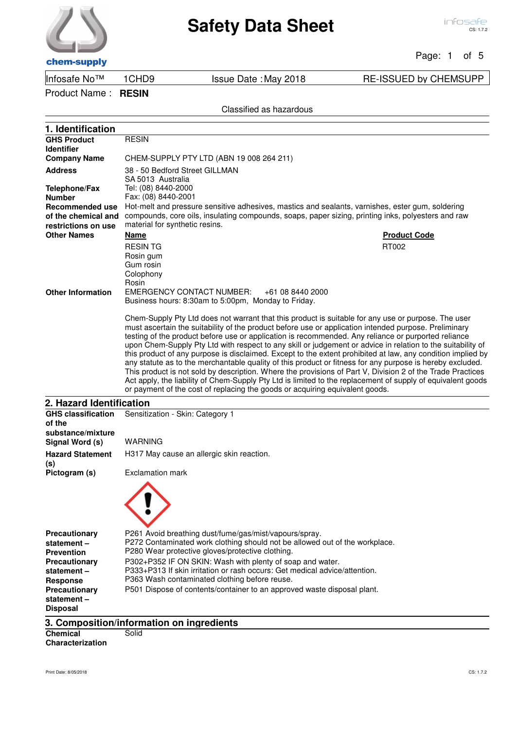#### Page: 1 of 5

chem-supply

Infosafe No™ 1CHD9 Issue Date :May 2018 RE-ISSUED by CHEMSUPP

Product Name : **RESIN**

| 1. Identification               |                                                                                                                                       |
|---------------------------------|---------------------------------------------------------------------------------------------------------------------------------------|
| <b>GHS Product</b>              | <b>RESIN</b>                                                                                                                          |
| <b>Identifier</b>               |                                                                                                                                       |
| <b>Company Name</b>             | CHEM-SUPPLY PTY LTD (ABN 19 008 264 211)                                                                                              |
| <b>Address</b>                  | 38 - 50 Bedford Street GILLMAN                                                                                                        |
|                                 | SA 5013 Australia                                                                                                                     |
| <b>Telephone/Fax</b>            | Tel: (08) 8440-2000                                                                                                                   |
| <b>Number</b>                   | Fax: (08) 8440-2001                                                                                                                   |
| <b>Recommended use</b>          | Hot-melt and pressure sensitive adhesives, mastics and sealants, varnishes, ester gum, soldering                                      |
| of the chemical and             | compounds, core oils, insulating compounds, soaps, paper sizing, printing inks, polyesters and raw                                    |
| restrictions on use             | material for synthetic resins.                                                                                                        |
| <b>Other Names</b>              | <b>Name</b><br><b>Product Code</b>                                                                                                    |
|                                 | <b>RESINTG</b><br>RT002                                                                                                               |
|                                 | Rosin gum                                                                                                                             |
|                                 | Gum rosin                                                                                                                             |
|                                 | Colophony                                                                                                                             |
|                                 | Rosin                                                                                                                                 |
| <b>Other Information</b>        | <b>EMERGENCY CONTACT NUMBER:</b><br>+61 08 8440 2000                                                                                  |
|                                 | Business hours: 8:30am to 5:00pm, Monday to Friday.                                                                                   |
|                                 | Chem-Supply Pty Ltd does not warrant that this product is suitable for any use or purpose. The user                                   |
|                                 | must ascertain the suitability of the product before use or application intended purpose. Preliminary                                 |
|                                 | testing of the product before use or application is recommended. Any reliance or purported reliance                                   |
|                                 | upon Chem-Supply Pty Ltd with respect to any skill or judgement or advice in relation to the suitability of                           |
|                                 | this product of any purpose is disclaimed. Except to the extent prohibited at law, any condition implied by                           |
|                                 | any statute as to the merchantable quality of this product or fitness for any purpose is hereby excluded.                             |
|                                 | This product is not sold by description. Where the provisions of Part V, Division 2 of the Trade Practices                            |
|                                 | Act apply, the liability of Chem-Supply Pty Ltd is limited to the replacement of supply of equivalent goods                           |
|                                 | or payment of the cost of replacing the goods or acquiring equivalent goods.                                                          |
| 2. Hazard Identification        |                                                                                                                                       |
| <b>GHS classification</b>       | Sensitization - Skin: Category 1                                                                                                      |
| of the                          |                                                                                                                                       |
| substance/mixture               |                                                                                                                                       |
| Signal Word (s)                 | WARNING                                                                                                                               |
| <b>Hazard Statement</b>         | H317 May cause an allergic skin reaction.                                                                                             |
| (s)                             | <b>Exclamation mark</b>                                                                                                               |
| Pictogram (s)                   |                                                                                                                                       |
|                                 |                                                                                                                                       |
|                                 |                                                                                                                                       |
|                                 |                                                                                                                                       |
|                                 |                                                                                                                                       |
|                                 |                                                                                                                                       |
| Precautionary                   | P261 Avoid breathing dust/fume/gas/mist/vapours/spray.<br>P272 Contaminated work clothing should not be allowed out of the workplace. |
| statement-<br><b>Prevention</b> | P280 Wear protective gloves/protective clothing.                                                                                      |
| <b>Precautionary</b>            | P302+P352 IF ON SKIN: Wash with plenty of soap and water.                                                                             |
| statement-                      | P333+P313 If skin irritation or rash occurs: Get medical advice/attention.                                                            |
| <b>Response</b>                 | P363 Wash contaminated clothing before reuse.                                                                                         |
| <b>Precautionary</b>            | P501 Dispose of contents/container to an approved waste disposal plant.                                                               |
| statement-                      |                                                                                                                                       |
| <b>Disposal</b>                 |                                                                                                                                       |
|                                 |                                                                                                                                       |
|                                 | 3. Composition/information on ingredients                                                                                             |
| <b>Chemical</b>                 | Solid                                                                                                                                 |

**Characterization**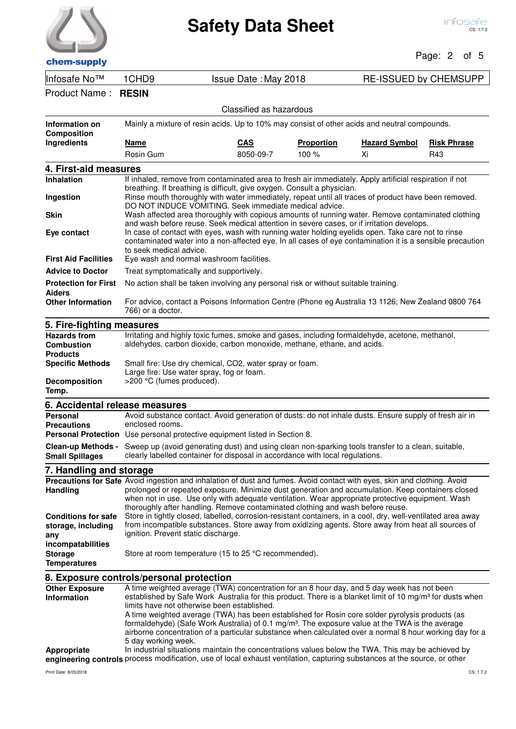|                                                                            |                                                                                                                                                                                                                                                                                                                                                                                                                                                                                                                                                                                                                                                                                                                                                                                                      |                         |                   |                              | Page: 2 of 5       |  |
|----------------------------------------------------------------------------|------------------------------------------------------------------------------------------------------------------------------------------------------------------------------------------------------------------------------------------------------------------------------------------------------------------------------------------------------------------------------------------------------------------------------------------------------------------------------------------------------------------------------------------------------------------------------------------------------------------------------------------------------------------------------------------------------------------------------------------------------------------------------------------------------|-------------------------|-------------------|------------------------------|--------------------|--|
| chem-supply                                                                |                                                                                                                                                                                                                                                                                                                                                                                                                                                                                                                                                                                                                                                                                                                                                                                                      |                         |                   |                              |                    |  |
| Infosafe No™                                                               | 1CHD <sub>9</sub>                                                                                                                                                                                                                                                                                                                                                                                                                                                                                                                                                                                                                                                                                                                                                                                    | Issue Date: May 2018    |                   | <b>RE-ISSUED by CHEMSUPP</b> |                    |  |
| Product Name:                                                              | <b>RESIN</b>                                                                                                                                                                                                                                                                                                                                                                                                                                                                                                                                                                                                                                                                                                                                                                                         |                         |                   |                              |                    |  |
|                                                                            |                                                                                                                                                                                                                                                                                                                                                                                                                                                                                                                                                                                                                                                                                                                                                                                                      | Classified as hazardous |                   |                              |                    |  |
| Information on<br><b>Composition</b>                                       | Mainly a mixture of resin acids. Up to 10% may consist of other acids and neutral compounds.                                                                                                                                                                                                                                                                                                                                                                                                                                                                                                                                                                                                                                                                                                         |                         |                   |                              |                    |  |
| Ingredients                                                                | <u>Name</u>                                                                                                                                                                                                                                                                                                                                                                                                                                                                                                                                                                                                                                                                                                                                                                                          | <b>CAS</b>              | <b>Proportion</b> | <b>Hazard Symbol</b>         | <b>Risk Phrase</b> |  |
|                                                                            | Rosin Gum                                                                                                                                                                                                                                                                                                                                                                                                                                                                                                                                                                                                                                                                                                                                                                                            | 8050-09-7               | 100 %             | Xi                           | R43                |  |
| 4. First-aid measures                                                      |                                                                                                                                                                                                                                                                                                                                                                                                                                                                                                                                                                                                                                                                                                                                                                                                      |                         |                   |                              |                    |  |
| <b>Inhalation</b><br>Ingestion                                             | If inhaled, remove from contaminated area to fresh air immediately. Apply artificial respiration if not<br>breathing. If breathing is difficult, give oxygen. Consult a physician.<br>Rinse mouth thoroughly with water immediately, repeat until all traces of product have been removed.<br>DO NOT INDUCE VOMITING. Seek immediate medical advice.<br>Wash affected area thoroughly with copious amounts of running water. Remove contaminated clothing<br>and wash before reuse. Seek medical attention in severe cases, or if irritation develops.<br>In case of contact with eyes, wash with running water holding eyelids open. Take care not to rinse<br>contaminated water into a non-affected eye. In all cases of eye contamination it is a sensible precaution<br>to seek medical advice. |                         |                   |                              |                    |  |
| <b>Skin</b>                                                                |                                                                                                                                                                                                                                                                                                                                                                                                                                                                                                                                                                                                                                                                                                                                                                                                      |                         |                   |                              |                    |  |
| Eye contact                                                                |                                                                                                                                                                                                                                                                                                                                                                                                                                                                                                                                                                                                                                                                                                                                                                                                      |                         |                   |                              |                    |  |
| <b>First Aid Facilities</b>                                                | Eye wash and normal washroom facilities.                                                                                                                                                                                                                                                                                                                                                                                                                                                                                                                                                                                                                                                                                                                                                             |                         |                   |                              |                    |  |
| <b>Advice to Doctor</b><br><b>Protection for First</b>                     | Treat symptomatically and supportively.<br>No action shall be taken involving any personal risk or without suitable training.                                                                                                                                                                                                                                                                                                                                                                                                                                                                                                                                                                                                                                                                        |                         |                   |                              |                    |  |
| <b>Aiders</b>                                                              |                                                                                                                                                                                                                                                                                                                                                                                                                                                                                                                                                                                                                                                                                                                                                                                                      |                         |                   |                              |                    |  |
| <b>Other Information</b>                                                   | For advice, contact a Poisons Information Centre (Phone eg Australia 13 1126; New Zealand 0800 764<br>766) or a doctor.                                                                                                                                                                                                                                                                                                                                                                                                                                                                                                                                                                                                                                                                              |                         |                   |                              |                    |  |
| 5. Fire-fighting measures                                                  |                                                                                                                                                                                                                                                                                                                                                                                                                                                                                                                                                                                                                                                                                                                                                                                                      |                         |                   |                              |                    |  |
| <b>Hazards from</b><br><b>Combustion</b><br><b>Products</b>                | Irritating and highly toxic fumes, smoke and gases, including formaldehyde, acetone, methanol,<br>aldehydes, carbon dioxide, carbon monoxide, methane, ethane, and acids.                                                                                                                                                                                                                                                                                                                                                                                                                                                                                                                                                                                                                            |                         |                   |                              |                    |  |
| <b>Specific Methods</b><br>Decomposition<br>Temp.                          | Small fire: Use dry chemical, CO2, water spray or foam.<br>Large fire: Use water spray, fog or foam.<br>>200 °C (fumes produced).                                                                                                                                                                                                                                                                                                                                                                                                                                                                                                                                                                                                                                                                    |                         |                   |                              |                    |  |
| 6. Accidental release measures                                             |                                                                                                                                                                                                                                                                                                                                                                                                                                                                                                                                                                                                                                                                                                                                                                                                      |                         |                   |                              |                    |  |
| <b>Personal</b>                                                            | Avoid substance contact. Avoid generation of dusts: do not inhale dusts. Ensure supply of fresh air in                                                                                                                                                                                                                                                                                                                                                                                                                                                                                                                                                                                                                                                                                               |                         |                   |                              |                    |  |
| <b>Precautions</b>                                                         | enclosed rooms.                                                                                                                                                                                                                                                                                                                                                                                                                                                                                                                                                                                                                                                                                                                                                                                      |                         |                   |                              |                    |  |
|                                                                            | Personal Protection Use personal protective equipment listed in Section 8.                                                                                                                                                                                                                                                                                                                                                                                                                                                                                                                                                                                                                                                                                                                           |                         |                   |                              |                    |  |
| <b>Clean-up Methods -</b><br><b>Small Spillages</b>                        | Sweep up (avoid generating dust) and using clean non-sparking tools transfer to a clean, suitable,<br>clearly labelled container for disposal in accordance with local regulations.                                                                                                                                                                                                                                                                                                                                                                                                                                                                                                                                                                                                                  |                         |                   |                              |                    |  |
| 7. Handling and storage                                                    |                                                                                                                                                                                                                                                                                                                                                                                                                                                                                                                                                                                                                                                                                                                                                                                                      |                         |                   |                              |                    |  |
| <b>Handling</b><br><b>Conditions for safe</b><br>storage, including<br>any | Precautions for Safe Avoid ingestion and inhalation of dust and fumes. Avoid contact with eyes, skin and clothing. Avoid<br>prolonged or repeated exposure. Minimize dust generation and accumulation. Keep containers closed<br>when not in use. Use only with adequate ventilation. Wear appropriate protective equipment. Wash<br>thoroughly after handling. Remove contaminated clothing and wash before reuse.<br>Store in tightly closed, labelled, corrosion-resistant containers, in a cool, dry, well-ventilated area away<br>from incompatible substances. Store away from oxidizing agents. Store away from heat all sources of<br>ignition. Prevent static discharge.                                                                                                                    |                         |                   |                              |                    |  |
| incompatabilities<br><b>Storage</b><br><b>Temperatures</b>                 | Store at room temperature (15 to 25 °C recommended).                                                                                                                                                                                                                                                                                                                                                                                                                                                                                                                                                                                                                                                                                                                                                 |                         |                   |                              |                    |  |
|                                                                            | 8. Exposure controls/personal protection                                                                                                                                                                                                                                                                                                                                                                                                                                                                                                                                                                                                                                                                                                                                                             |                         |                   |                              |                    |  |
| <b>Other Exposure</b><br>Information                                       | A time weighted average (TWA) concentration for an 8 hour day, and 5 day week has not been<br>established by Safe Work Australia for this product. There is a blanket limit of 10 mg/m <sup>3</sup> for dusts when<br>limits have not otherwise been established.<br>A time weighted average (TWA) has been established for Rosin core solder pyrolysis products (as<br>formaldehyde) (Safe Work Australia) of 0.1 mg/m <sup>3</sup> . The exposure value at the TWA is the average<br>airborne concentration of a particular substance when calculated over a normal 8 hour working day for a                                                                                                                                                                                                       |                         |                   |                              |                    |  |

In industrial situations maintain the concentrations values below the TWA. This may be achieved by

engineering controls process modification, use of local exhaust ventilation, capturing substances at the source, or other **Appropriate** 

5 day working week.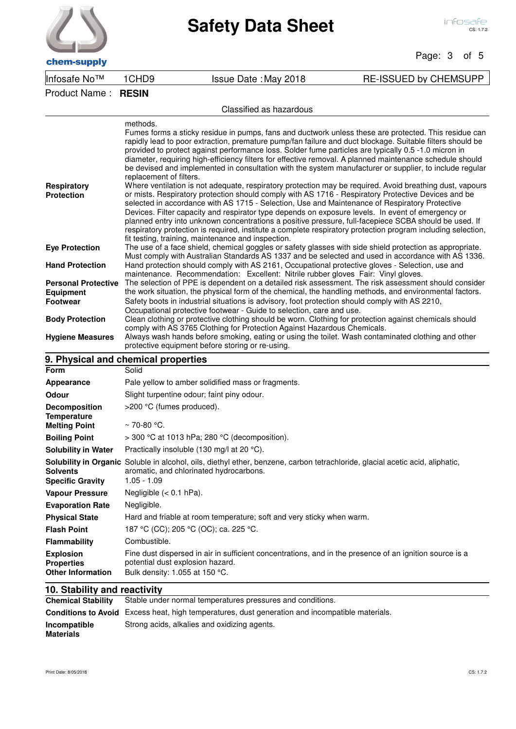Page: 3 of 5

chem-supply

Infosafe No™ 1CHD9 Issue Date :May 2018 RE-ISSUED by CHEMSUPP

## Product Name : **RESIN**

#### Classified as hazardous

| <b>Respiratory</b><br><b>Protection</b>                           | methods.<br>Fumes forms a sticky residue in pumps, fans and ductwork unless these are protected. This residue can<br>rapidly lead to poor extraction, premature pump/fan failure and duct blockage. Suitable filters should be<br>provided to protect against performance loss. Solder fume particles are typically 0.5 -1.0 micron in<br>diameter, requiring high-efficiency filters for effective removal. A planned maintenance schedule should<br>be devised and implemented in consultation with the system manufacturer or supplier, to include regular<br>replacement of filters.<br>Where ventilation is not adequate, respiratory protection may be required. Avoid breathing dust, vapours<br>or mists. Respiratory protection should comply with AS 1716 - Respiratory Protective Devices and be<br>selected in accordance with AS 1715 - Selection, Use and Maintenance of Respiratory Protective<br>Devices. Filter capacity and respirator type depends on exposure levels. In event of emergency or<br>planned entry into unknown concentrations a positive pressure, full-facepiece SCBA should be used. If<br>respiratory protection is required, institute a complete respiratory protection program including selection,<br>fit testing, training, maintenance and inspection. |
|-------------------------------------------------------------------|---------------------------------------------------------------------------------------------------------------------------------------------------------------------------------------------------------------------------------------------------------------------------------------------------------------------------------------------------------------------------------------------------------------------------------------------------------------------------------------------------------------------------------------------------------------------------------------------------------------------------------------------------------------------------------------------------------------------------------------------------------------------------------------------------------------------------------------------------------------------------------------------------------------------------------------------------------------------------------------------------------------------------------------------------------------------------------------------------------------------------------------------------------------------------------------------------------------------------------------------------------------------------------------------------|
| <b>Eye Protection</b>                                             | The use of a face shield, chemical goggles or safety glasses with side shield protection as appropriate.<br>Must comply with Australian Standards AS 1337 and be selected and used in accordance with AS 1336.                                                                                                                                                                                                                                                                                                                                                                                                                                                                                                                                                                                                                                                                                                                                                                                                                                                                                                                                                                                                                                                                                    |
| <b>Hand Protection</b>                                            | Hand protection should comply with AS 2161, Occupational protective gloves - Selection, use and                                                                                                                                                                                                                                                                                                                                                                                                                                                                                                                                                                                                                                                                                                                                                                                                                                                                                                                                                                                                                                                                                                                                                                                                   |
| <b>Personal Protective</b><br><b>Equipment</b><br><b>Footwear</b> | maintenance. Recommendation: Excellent: Nitrile rubber gloves Fair: Vinyl gloves.<br>The selection of PPE is dependent on a detailed risk assessment. The risk assessment should consider<br>the work situation, the physical form of the chemical, the handling methods, and environmental factors.<br>Safety boots in industrial situations is advisory, foot protection should comply with AS 2210,<br>Occupational protective footwear - Guide to selection, care and use.                                                                                                                                                                                                                                                                                                                                                                                                                                                                                                                                                                                                                                                                                                                                                                                                                    |
| <b>Body Protection</b>                                            | Clean clothing or protective clothing should be worn. Clothing for protection against chemicals should                                                                                                                                                                                                                                                                                                                                                                                                                                                                                                                                                                                                                                                                                                                                                                                                                                                                                                                                                                                                                                                                                                                                                                                            |
| <b>Hygiene Measures</b>                                           | comply with AS 3765 Clothing for Protection Against Hazardous Chemicals.<br>Always wash hands before smoking, eating or using the toilet. Wash contaminated clothing and other<br>protective equipment before storing or re-using.                                                                                                                                                                                                                                                                                                                                                                                                                                                                                                                                                                                                                                                                                                                                                                                                                                                                                                                                                                                                                                                                |
|                                                                   | 9. Physical and chemical properties                                                                                                                                                                                                                                                                                                                                                                                                                                                                                                                                                                                                                                                                                                                                                                                                                                                                                                                                                                                                                                                                                                                                                                                                                                                               |
| Form                                                              | Solid                                                                                                                                                                                                                                                                                                                                                                                                                                                                                                                                                                                                                                                                                                                                                                                                                                                                                                                                                                                                                                                                                                                                                                                                                                                                                             |
| <b>Appearance</b>                                                 | Pale yellow to amber solidified mass or fragments.                                                                                                                                                                                                                                                                                                                                                                                                                                                                                                                                                                                                                                                                                                                                                                                                                                                                                                                                                                                                                                                                                                                                                                                                                                                |
| Odour                                                             | Slight turpentine odour; faint piny odour.                                                                                                                                                                                                                                                                                                                                                                                                                                                                                                                                                                                                                                                                                                                                                                                                                                                                                                                                                                                                                                                                                                                                                                                                                                                        |
| <b>Decomposition</b><br><b>Temperature</b>                        | >200 °C (fumes produced).                                                                                                                                                                                                                                                                                                                                                                                                                                                                                                                                                                                                                                                                                                                                                                                                                                                                                                                                                                                                                                                                                                                                                                                                                                                                         |
| <b>Melting Point</b>                                              | $~\sim$ 70-80 °C.                                                                                                                                                                                                                                                                                                                                                                                                                                                                                                                                                                                                                                                                                                                                                                                                                                                                                                                                                                                                                                                                                                                                                                                                                                                                                 |
| <b>Boiling Point</b>                                              | > 300 °C at 1013 hPa; 280 °C (decomposition).                                                                                                                                                                                                                                                                                                                                                                                                                                                                                                                                                                                                                                                                                                                                                                                                                                                                                                                                                                                                                                                                                                                                                                                                                                                     |
| <b>Solubility in Water</b>                                        | Practically insoluble (130 mg/l at 20 °C).                                                                                                                                                                                                                                                                                                                                                                                                                                                                                                                                                                                                                                                                                                                                                                                                                                                                                                                                                                                                                                                                                                                                                                                                                                                        |
| <b>Solvents</b><br><b>Specific Gravity</b>                        | Solubility in Organic Soluble in alcohol, oils, diethyl ether, benzene, carbon tetrachloride, glacial acetic acid, aliphatic,<br>aromatic, and chlorinated hydrocarbons.<br>$1.05 - 1.09$                                                                                                                                                                                                                                                                                                                                                                                                                                                                                                                                                                                                                                                                                                                                                                                                                                                                                                                                                                                                                                                                                                         |
| <b>Vapour Pressure</b>                                            | Negligible $(< 0.1$ hPa).                                                                                                                                                                                                                                                                                                                                                                                                                                                                                                                                                                                                                                                                                                                                                                                                                                                                                                                                                                                                                                                                                                                                                                                                                                                                         |
| <b>Evaporation Rate</b>                                           | Negligible.                                                                                                                                                                                                                                                                                                                                                                                                                                                                                                                                                                                                                                                                                                                                                                                                                                                                                                                                                                                                                                                                                                                                                                                                                                                                                       |
| <b>Physical State</b>                                             | Hard and friable at room temperature; soft and very sticky when warm.                                                                                                                                                                                                                                                                                                                                                                                                                                                                                                                                                                                                                                                                                                                                                                                                                                                                                                                                                                                                                                                                                                                                                                                                                             |
| <b>Flash Point</b>                                                | 187 °C (CC); 205 °C (OC); ca. 225 °C.                                                                                                                                                                                                                                                                                                                                                                                                                                                                                                                                                                                                                                                                                                                                                                                                                                                                                                                                                                                                                                                                                                                                                                                                                                                             |
| <b>Flammability</b>                                               | Combustible.                                                                                                                                                                                                                                                                                                                                                                                                                                                                                                                                                                                                                                                                                                                                                                                                                                                                                                                                                                                                                                                                                                                                                                                                                                                                                      |
| <b>Explosion</b><br><b>Properties</b><br><b>Other Information</b> | Fine dust dispersed in air in sufficient concentrations, and in the presence of an ignition source is a<br>potential dust explosion hazard.<br>Bulk density: 1.055 at 150 °C.                                                                                                                                                                                                                                                                                                                                                                                                                                                                                                                                                                                                                                                                                                                                                                                                                                                                                                                                                                                                                                                                                                                     |

#### **10. Stability and reactivity**

| <b>Chemical Stability</b> | Stable under normal temperatures pressures and conditions.                                             |
|---------------------------|--------------------------------------------------------------------------------------------------------|
|                           | <b>Conditions to Avoid</b> Excess heat, high temperatures, dust generation and incompatible materials. |
| Incompatible              | Strong acids, alkalies and oxidizing agents.                                                           |
| Materials                 |                                                                                                        |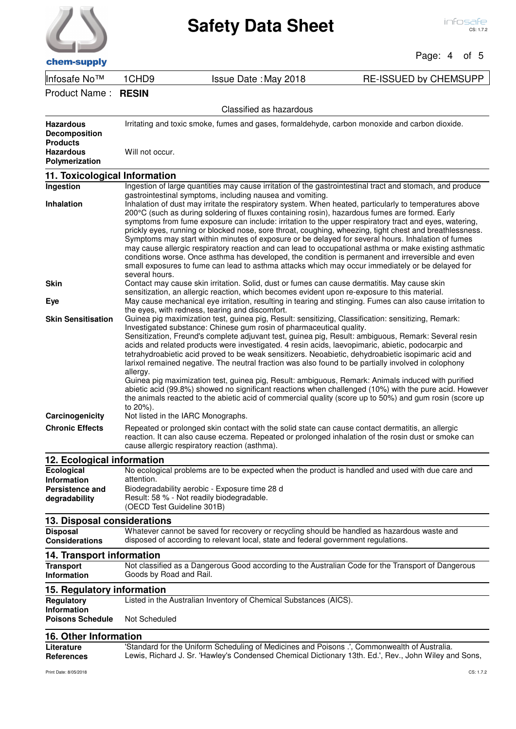| chem-supply |  |
|-------------|--|

### Page: 4 of 5

Infosafe No™ 1CHD9 Issue Date :May 2018 RE-ISSUED by CHEMSUPP

Product Name : **RESIN**

| Classified as hazardous                                                                           |                                                                                                                                                                                                                                                                                                                                                                                                                                                                                                                                                                                                                                                                                                                                                                                                                                                                                                                                                              |  |
|---------------------------------------------------------------------------------------------------|--------------------------------------------------------------------------------------------------------------------------------------------------------------------------------------------------------------------------------------------------------------------------------------------------------------------------------------------------------------------------------------------------------------------------------------------------------------------------------------------------------------------------------------------------------------------------------------------------------------------------------------------------------------------------------------------------------------------------------------------------------------------------------------------------------------------------------------------------------------------------------------------------------------------------------------------------------------|--|
| <b>Hazardous</b><br><b>Decomposition</b><br><b>Products</b><br><b>Hazardous</b><br>Polymerization | Irritating and toxic smoke, fumes and gases, formaldehyde, carbon monoxide and carbon dioxide.<br>Will not occur.                                                                                                                                                                                                                                                                                                                                                                                                                                                                                                                                                                                                                                                                                                                                                                                                                                            |  |
| 11. Toxicological Information                                                                     |                                                                                                                                                                                                                                                                                                                                                                                                                                                                                                                                                                                                                                                                                                                                                                                                                                                                                                                                                              |  |
| Ingestion                                                                                         | Ingestion of large quantities may cause irritation of the gastrointestinal tract and stomach, and produce                                                                                                                                                                                                                                                                                                                                                                                                                                                                                                                                                                                                                                                                                                                                                                                                                                                    |  |
| <b>Inhalation</b>                                                                                 | gastrointestinal symptoms, including nausea and vomiting.<br>Inhalation of dust may irritate the respiratory system. When heated, particularly to temperatures above<br>200°C (such as during soldering of fluxes containing rosin), hazardous fumes are formed. Early<br>symptoms from fume exposure can include: irritation to the upper respiratory tract and eyes, watering,<br>prickly eyes, running or blocked nose, sore throat, coughing, wheezing, tight chest and breathlessness.<br>Symptoms may start within minutes of exposure or be delayed for several hours. Inhalation of fumes<br>may cause allergic respiratory reaction and can lead to occupational asthma or make existing asthmatic<br>conditions worse. Once asthma has developed, the condition is permanent and irreversible and even<br>small exposures to fume can lead to asthma attacks which may occur immediately or be delayed for<br>several hours.                       |  |
| <b>Skin</b>                                                                                       | Contact may cause skin irritation. Solid, dust or fumes can cause dermatitis. May cause skin                                                                                                                                                                                                                                                                                                                                                                                                                                                                                                                                                                                                                                                                                                                                                                                                                                                                 |  |
| Eye                                                                                               | sensitization, an allergic reaction, which becomes evident upon re-exposure to this material.<br>May cause mechanical eye irritation, resulting in tearing and stinging. Fumes can also cause irritation to<br>the eyes, with redness, tearing and discomfort.                                                                                                                                                                                                                                                                                                                                                                                                                                                                                                                                                                                                                                                                                               |  |
| <b>Skin Sensitisation</b>                                                                         | Guinea pig maximization test, guinea pig, Result: sensitizing, Classification: sensitizing, Remark:<br>Investigated substance: Chinese gum rosin of pharmaceutical quality.<br>Sensitization, Freund's complete adjuvant test, guinea pig, Result: ambiguous, Remark: Several resin<br>acids and related products were investigated. 4 resin acids, laevopimaric, abietic, podocarpic and<br>tetrahydroabietic acid proved to be weak sensitizers. Neoabietic, dehydroabietic isopimaric acid and<br>larixol remained negative. The neutral fraction was also found to be partially involved in colophony<br>allergy.<br>Guinea pig maximization test, guinea pig, Result: ambiguous, Remark: Animals induced with purified<br>abietic acid (99.8%) showed no significant reactions when challenged (10%) with the pure acid. However<br>the animals reacted to the abietic acid of commercial quality (score up to 50%) and gum rosin (score up<br>to 20%). |  |
| Carcinogenicity                                                                                   | Not listed in the IARC Monographs.                                                                                                                                                                                                                                                                                                                                                                                                                                                                                                                                                                                                                                                                                                                                                                                                                                                                                                                           |  |
| <b>Chronic Effects</b>                                                                            | Repeated or prolonged skin contact with the solid state can cause contact dermatitis, an allergic<br>reaction. It can also cause eczema. Repeated or prolonged inhalation of the rosin dust or smoke can<br>cause allergic respiratory reaction (asthma).                                                                                                                                                                                                                                                                                                                                                                                                                                                                                                                                                                                                                                                                                                    |  |
| 12. Ecological information                                                                        |                                                                                                                                                                                                                                                                                                                                                                                                                                                                                                                                                                                                                                                                                                                                                                                                                                                                                                                                                              |  |
| <b>Ecological</b><br><b>Information</b><br>Persistence and<br>degradability                       | No ecological problems are to be expected when the product is handled and used with due care and<br>attention.<br>Biodegradability aerobic - Exposure time 28 d<br>Result: 58 % - Not readily biodegradable.<br>(OECD Test Guideline 301B)                                                                                                                                                                                                                                                                                                                                                                                                                                                                                                                                                                                                                                                                                                                   |  |
| 13. Disposal considerations                                                                       |                                                                                                                                                                                                                                                                                                                                                                                                                                                                                                                                                                                                                                                                                                                                                                                                                                                                                                                                                              |  |
| <b>Disposal</b><br><b>Considerations</b>                                                          | Whatever cannot be saved for recovery or recycling should be handled as hazardous waste and<br>disposed of according to relevant local, state and federal government regulations.                                                                                                                                                                                                                                                                                                                                                                                                                                                                                                                                                                                                                                                                                                                                                                            |  |
| <b>14. Transport information</b>                                                                  |                                                                                                                                                                                                                                                                                                                                                                                                                                                                                                                                                                                                                                                                                                                                                                                                                                                                                                                                                              |  |
| <b>Transport</b><br>Information                                                                   | Not classified as a Dangerous Good according to the Australian Code for the Transport of Dangerous<br>Goods by Road and Rail.                                                                                                                                                                                                                                                                                                                                                                                                                                                                                                                                                                                                                                                                                                                                                                                                                                |  |
| 15. Regulatory information                                                                        |                                                                                                                                                                                                                                                                                                                                                                                                                                                                                                                                                                                                                                                                                                                                                                                                                                                                                                                                                              |  |
| <b>Regulatory</b><br>Information<br><b>Poisons Schedule</b>                                       | Listed in the Australian Inventory of Chemical Substances (AICS).<br>Not Scheduled                                                                                                                                                                                                                                                                                                                                                                                                                                                                                                                                                                                                                                                                                                                                                                                                                                                                           |  |
| <b>16. Other Information</b>                                                                      |                                                                                                                                                                                                                                                                                                                                                                                                                                                                                                                                                                                                                                                                                                                                                                                                                                                                                                                                                              |  |
| Literature<br><b>References</b>                                                                   | 'Standard for the Uniform Scheduling of Medicines and Poisons .', Commonwealth of Australia.<br>Lewis, Richard J. Sr. 'Hawley's Condensed Chemical Dictionary 13th. Ed.', Rev., John Wiley and Sons,                                                                                                                                                                                                                                                                                                                                                                                                                                                                                                                                                                                                                                                                                                                                                         |  |